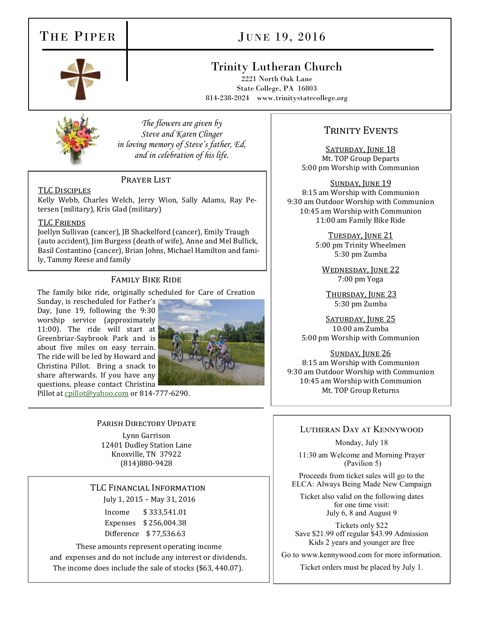# THE PIPER

# JUNE 19, 2016

# Trinity Lutheran Church

2221 North Oak Lane State College, PA 16803 814-238-2024 www.trinitystatecollege.org



*The flowers are given by Steve and Karen Clinger in loving memory of Steve's father, Ed, and in celebration of his life.*

#### PRAYER LIST

TLC Disciples Kelly Webb, Charles Welch, Jerry Wion, Sally Adams, Ray Petersen (military), Kris Glad (military)

#### TLC Friends

Joellyn Sullivan (cancer), JB Shackelford (cancer), Emily Traugh (auto accident), Jim Burgess (death of wife), Anne and Mel Bullick, Basil Costantino (cancer), Brian Johns, Michael Hamilton and family, Tammy Reese and family

### Family Bike Ride

The family bike ride, originally scheduled for Care of Creation

Sunday, is rescheduled for Father's Day, June 19, following the 9:30 worship service (approximately 11:00). The ride will start at Greenbriar-Saybrook Park and is about five miles on easy terrain. The ride will be led by Howard and Christina Pillot. Bring a snack to share afterwards. If you have any questions, please contact Christina



Pillot at [cpillot@yahoo.com](javascript:window.top.ZmObjectManager.__doClickObject(document.getElementById(%22OBJ_PREFIX_DWT1745_com_zimbra_email%22));) or 814-777-6290.

#### PARISH DIRECTORY UPDATE

Lynn Garrison 12401 Dudley Station Lane Knoxville, TN 37922 (814)880-9428

#### TLC Financial Information July 1, 2015 – May 31, 2016

Income \$ 333,541.01 Expenses \$ 256,004.38 Difference \$ 77,536.63

These amounts represent operating income and expenses and do not include any interest or dividends. The income does include the sale of stocks (\$63, 440.07).

## TRINITY EVENTS

SATURDAY, JUNE 18 Mt. TOP Group Departs 5:00 pm Worship with Communion

SUNDAY, JUNE 19 8:15 am Worship with Communion 9:30 am Outdoor Worship with Communion 10:45 am Worship with Communion 11:00 am Family Bike Ride

> Tuesday, June 21 5:00 pm Trinity Wheelmen 5:30 pm Zumba

WEDNESDAY, JUNE 22 7:00 pm Yoga

Thursday, June 23 5:30 pm Zumba

SATURDAY, JUNE 25 10:00 am Zumba 5:00 pm Worship with Communion

SUNDAY, JUNE 26 8:15 am Worship with Communion 9:30 am Outdoor Worship with Communion 10:45 am Worship with Communion Mt. TOP Group Returns

#### Lutheran Day at Kennywood

Monday, July 18

11:30 am Welcome and Morning Prayer (Pavilion 5)

Proceeds from ticket sales will go to the ELCA: Always Being Made New Campaign

Ticket also valid on the following dates for one time visit: July 6, 8 and August 9

Tickets only \$22 Save \$21.99 off regular \$43.99 Admission Kids 2 years and younger are free

Go to www.kennywood.com for more information.

Ticket orders must be placed by July 1.